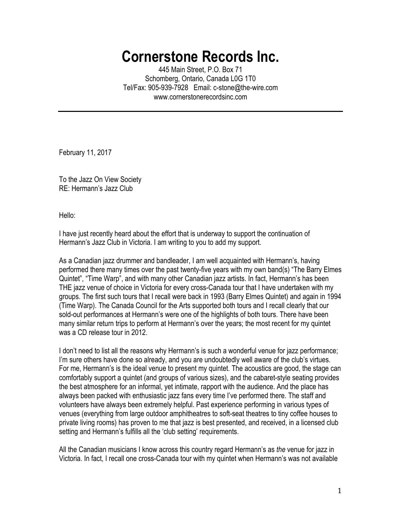## **Cornerstone Records Inc.**

445 Main Street, P.O. Box 71 Schomberg, Ontario, Canada L0G 1T0 Tel/Fax: 905-939-7928 Email: c-stone@the-wire.com www.cornerstonerecordsinc.com

February 11, 2017

To the Jazz On View Society RE: Hermann's Jazz Club

Hello:

I have just recently heard about the effort that is underway to support the continuation of Hermann's Jazz Club in Victoria. I am writing to you to add my support.

As a Canadian jazz drummer and bandleader, I am well acquainted with Hermann's, having performed there many times over the past twenty-five years with my own band(s) "The Barry Elmes Quintet", "Time Warp", and with many other Canadian jazz artists. In fact, Hermann's has been THE jazz venue of choice in Victoria for every cross-Canada tour that I have undertaken with my groups. The first such tours that I recall were back in 1993 (Barry Elmes Quintet) and again in 1994 (Time Warp). The Canada Council for the Arts supported both tours and I recall clearly that our sold-out performances at Hermann's were one of the highlights of both tours. There have been many similar return trips to perform at Hermann's over the years; the most recent for my quintet was a CD release tour in 2012.

I don't need to list all the reasons why Hermann's is such a wonderful venue for jazz performance; I'm sure others have done so already, and you are undoubtedly well aware of the club's virtues. For me, Hermann's is the ideal venue to present my quintet. The acoustics are good, the stage can comfortably support a quintet (and groups of various sizes), and the cabaret-style seating provides the best atmosphere for an informal, yet intimate, rapport with the audience. And the place has always been packed with enthusiastic jazz fans every time I've performed there. The staff and volunteers have always been extremely helpful. Past experience performing in various types of venues (everything from large outdoor amphitheatres to soft-seat theatres to tiny coffee houses to private living rooms) has proven to me that jazz is best presented, and received, in a licensed club setting and Hermann's fulfills all the 'club setting' requirements.

All the Canadian musicians I know across this country regard Hermann's as *the* venue for jazz in Victoria. In fact, I recall one cross-Canada tour with my quintet when Hermann's was not available